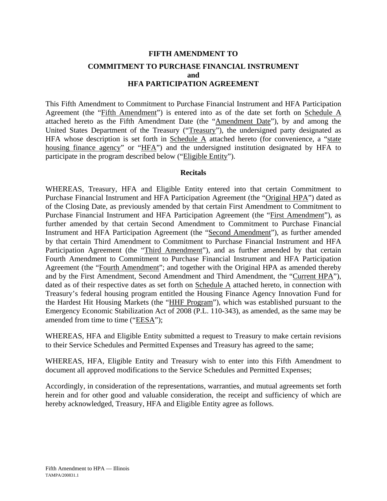# **FIFTH AMENDMENT TO COMMITMENT TO PURCHASE FINANCIAL INSTRUMENT and HFA PARTICIPATION AGREEMENT**

This Fifth Amendment to Commitment to Purchase Financial Instrument and HFA Participation Agreement (the "Fifth Amendment") is entered into as of the date set forth on Schedule A attached hereto as the Fifth Amendment Date (the "Amendment Date"), by and among the United States Department of the Treasury ("Treasury"), the undersigned party designated as HFA whose description is set forth in Schedule  $\overline{A}$  attached hereto (for convenience, a "state housing finance agency" or "HFA") and the undersigned institution designated by HFA to participate in the program described below ("Eligible Entity").

#### **Recitals**

WHEREAS, Treasury, HFA and Eligible Entity entered into that certain Commitment to Purchase Financial Instrument and HFA Participation Agreement (the "Original HPA") dated as of the Closing Date, as previously amended by that certain First Amendment to Commitment to Purchase Financial Instrument and HFA Participation Agreement (the "First Amendment"), as further amended by that certain Second Amendment to Commitment to Purchase Financial Instrument and HFA Participation Agreement (the "Second Amendment"), as further amended by that certain Third Amendment to Commitment to Purchase Financial Instrument and HFA Participation Agreement (the "Third Amendment"), and as further amended by that certain Fourth Amendment to Commitment to Purchase Financial Instrument and HFA Participation Agreement (the "Fourth Amendment"; and together with the Original HPA as amended thereby and by the First Amendment, Second Amendment and Third Amendment, the "Current HPA"), dated as of their respective dates as set forth on Schedule A attached hereto, in connection with Treasury's federal housing program entitled the Housing Finance Agency Innovation Fund for the Hardest Hit Housing Markets (the "HHF Program"), which was established pursuant to the Emergency Economic Stabilization Act of 2008 (P.L. 110-343), as amended, as the same may be amended from time to time ("EESA");

WHEREAS, HFA and Eligible Entity submitted a request to Treasury to make certain revisions to their Service Schedules and Permitted Expenses and Treasury has agreed to the same;

WHEREAS, HFA, Eligible Entity and Treasury wish to enter into this Fifth Amendment to document all approved modifications to the Service Schedules and Permitted Expenses;

Accordingly, in consideration of the representations, warranties, and mutual agreements set forth herein and for other good and valuable consideration, the receipt and sufficiency of which are hereby acknowledged, Treasury, HFA and Eligible Entity agree as follows.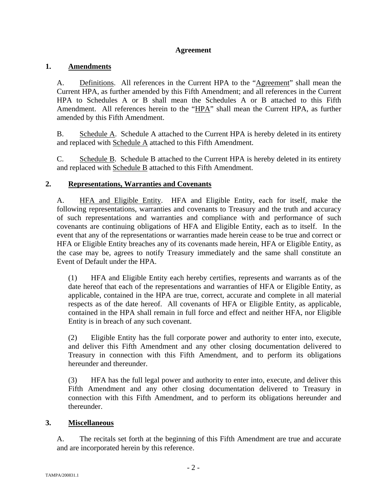## **Agreement**

## **1. Amendments**

A. Definitions. All references in the Current HPA to the "Agreement" shall mean the Current HPA, as further amended by this Fifth Amendment; and all references in the Current HPA to Schedules A or B shall mean the Schedules A or B attached to this Fifth Amendment. All references herein to the "HPA" shall mean the Current HPA, as further amended by this Fifth Amendment.

B. Schedule A. Schedule A attached to the Current HPA is hereby deleted in its entirety and replaced with Schedule A attached to this Fifth Amendment.

C. Schedule B. Schedule B attached to the Current HPA is hereby deleted in its entirety and replaced with Schedule B attached to this Fifth Amendment.

## **2. Representations, Warranties and Covenants**

A. HFA and Eligible Entity. HFA and Eligible Entity, each for itself, make the following representations, warranties and covenants to Treasury and the truth and accuracy of such representations and warranties and compliance with and performance of such covenants are continuing obligations of HFA and Eligible Entity, each as to itself. In the event that any of the representations or warranties made herein cease to be true and correct or HFA or Eligible Entity breaches any of its covenants made herein, HFA or Eligible Entity, as the case may be, agrees to notify Treasury immediately and the same shall constitute an Event of Default under the HPA.

(1) HFA and Eligible Entity each hereby certifies, represents and warrants as of the date hereof that each of the representations and warranties of HFA or Eligible Entity, as applicable, contained in the HPA are true, correct, accurate and complete in all material respects as of the date hereof. All covenants of HFA or Eligible Entity, as applicable, contained in the HPA shall remain in full force and effect and neither HFA, nor Eligible Entity is in breach of any such covenant.

(2) Eligible Entity has the full corporate power and authority to enter into, execute, and deliver this Fifth Amendment and any other closing documentation delivered to Treasury in connection with this Fifth Amendment, and to perform its obligations hereunder and thereunder.

(3) HFA has the full legal power and authority to enter into, execute, and deliver this Fifth Amendment and any other closing documentation delivered to Treasury in connection with this Fifth Amendment, and to perform its obligations hereunder and thereunder.

## **3. Miscellaneous**

A. The recitals set forth at the beginning of this Fifth Amendment are true and accurate and are incorporated herein by this reference.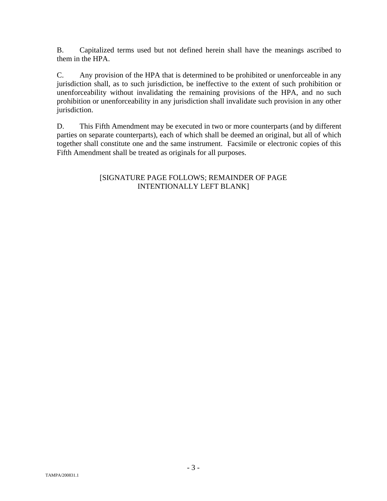B. Capitalized terms used but not defined herein shall have the meanings ascribed to them in the HPA.

C. Any provision of the HPA that is determined to be prohibited or unenforceable in any jurisdiction shall, as to such jurisdiction, be ineffective to the extent of such prohibition or unenforceability without invalidating the remaining provisions of the HPA, and no such prohibition or unenforceability in any jurisdiction shall invalidate such provision in any other jurisdiction.

D. This Fifth Amendment may be executed in two or more counterparts (and by different parties on separate counterparts), each of which shall be deemed an original, but all of which together shall constitute one and the same instrument. Facsimile or electronic copies of this Fifth Amendment shall be treated as originals for all purposes.

## [SIGNATURE PAGE FOLLOWS; REMAINDER OF PAGE INTENTIONALLY LEFT BLANK]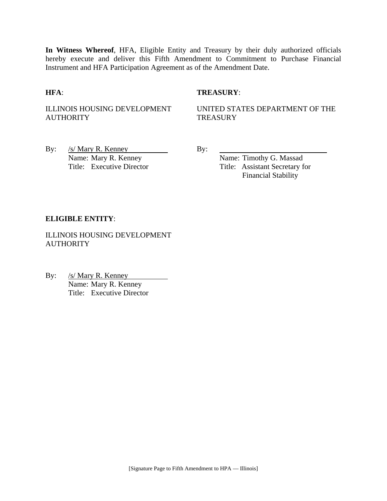**In Witness Whereof**, HFA, Eligible Entity and Treasury by their duly authorized officials hereby execute and deliver this Fifth Amendment to Commitment to Purchase Financial Instrument and HFA Participation Agreement as of the Amendment Date.

### **HFA**: **TREASURY**:

ILLINOIS HOUSING DEVELOPMENT **AUTHORITY** 

UNITED STATES DEPARTMENT OF THE **TREASURY** 

By:  $/s/Mary R$ . Kenney By: Name: Mary R. Kenney Name: Timothy G. Massad

Title: Executive Director Title: Assistant Secretary for Financial Stability

### **ELIGIBLE ENTITY**:

ILLINOIS HOUSING DEVELOPMENT **AUTHORITY** 

By: /s/ Mary R. Kenney Name: Mary R. Kenney Title: Executive Director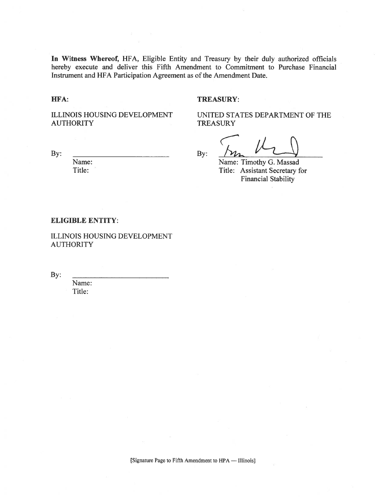In Witness Whereof, HFA, Eligible Entity and Treasury by their duly authorized officials hereby execute and deliver this Fifth Amendment to Commitment to Purchase Financial Instrument and HFA Participation Agreement as of the Amendment Date.

HFA:

#### **TREASURY:**

**TREASURY** 

ILLINOIS HOUSING DEVELOPMENT **AUTHORITY** 

By:

 $By:$ 

UNITED STATES DEPARTMENT OF THE

Name: Timothy G. Massad Title: Assistant Secretary for **Financial Stability** 

#### **ELIGIBLE ENTITY:**

Name:

Title:

ILLINOIS HOUSING DEVELOPMENT **AUTHORITY** 

By:

Name: Title: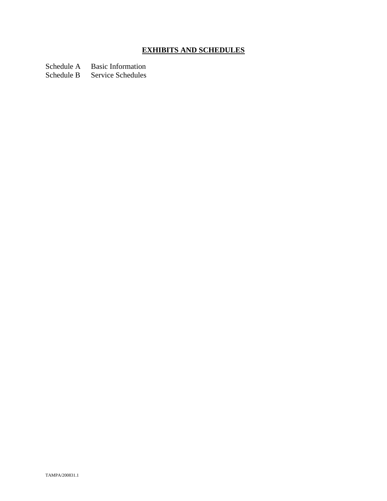# **EXHIBITS AND SCHEDULES**

Schedule A Basic Information<br>Schedule B Service Schedules

Service Schedules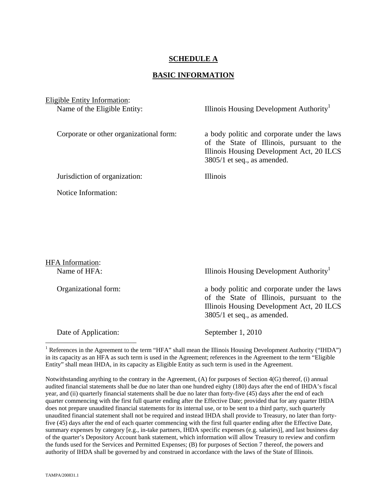## **SCHEDULE A**

#### **BASIC INFORMATION**

Eligible Entity Information: Name of the Eligible Entity: Illinois Housing Development Authority<sup>1</sup>

Corporate or other organizational form: a body politic and corporate under the laws of the State of Illinois, pursuant to the Illinois Housing Development Act, 20 ILCS 3805/1 et seq., as amended.

Jurisdiction of organization: Illinois

Notice Information:

HFA Information: Name of HFA: Illinois Housing Development Authority<sup>1</sup> Organizational form: a body politic and corporate under the laws of the State of Illinois, pursuant to the Illinois Housing Development Act, 20 ILCS 3805/1 et seq., as amended. Date of Application: September 1, 2010

<sup>1</sup> References in the Agreement to the term "HFA" shall mean the Illinois Housing Development Authority ("IHDA") in its capacity as an HFA as such term is used in the Agreement; references in the Agreement to the term "Eligible Entity" shall mean IHDA, in its capacity as Eligible Entity as such term is used in the Agreement.

Notwithstanding anything to the contrary in the Agreement, (A) for purposes of Section 4(G) thereof, (i) annual audited financial statements shall be due no later than one hundred eighty (180) days after the end of IHDA's fiscal year, and (ii) quarterly financial statements shall be due no later than forty-five (45) days after the end of each quarter commencing with the first full quarter ending after the Effective Date; provided that for any quarter IHDA does not prepare unaudited financial statements for its internal use, or to be sent to a third party, such quarterly unaudited financial statement shall not be required and instead IHDA shall provide to Treasury, no later than fortyfive (45) days after the end of each quarter commencing with the first full quarter ending after the Effective Date, summary expenses by category [e.g., in-take partners, IHDA specific expenses (e.g. salaries)], and last business day of the quarter's Depository Account bank statement, which information will allow Treasury to review and confirm the funds used for the Services and Permitted Expenses; (B) for purposes of Section 7 thereof, the powers and authority of IHDA shall be governed by and construed in accordance with the laws of the State of Illinois.

 $\overline{a}$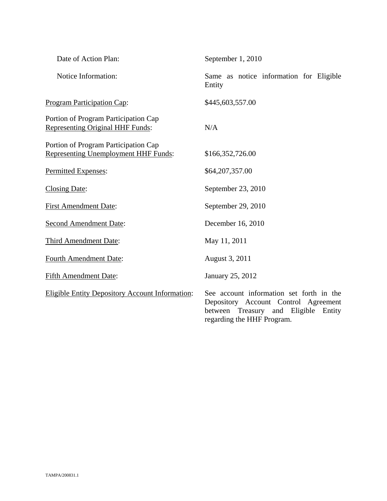| Date of Action Plan:                                                                | September 1, 2010                                                                                                                                         |
|-------------------------------------------------------------------------------------|-----------------------------------------------------------------------------------------------------------------------------------------------------------|
| Notice Information:                                                                 | Same as notice information for Eligible<br>Entity                                                                                                         |
| <b>Program Participation Cap:</b>                                                   | \$445,603,557.00                                                                                                                                          |
| Portion of Program Participation Cap<br><b>Representing Original HHF Funds:</b>     | N/A                                                                                                                                                       |
| Portion of Program Participation Cap<br><b>Representing Unemployment HHF Funds:</b> | \$166,352,726.00                                                                                                                                          |
| Permitted Expenses:                                                                 | \$64,207,357.00                                                                                                                                           |
| <b>Closing Date:</b>                                                                | September 23, 2010                                                                                                                                        |
| <b>First Amendment Date:</b>                                                        | September 29, 2010                                                                                                                                        |
| <b>Second Amendment Date:</b>                                                       | December 16, 2010                                                                                                                                         |
| Third Amendment Date:                                                               | May 11, 2011                                                                                                                                              |
| <b>Fourth Amendment Date:</b>                                                       | August 3, 2011                                                                                                                                            |
| <b>Fifth Amendment Date:</b>                                                        | January 25, 2012                                                                                                                                          |
| <b>Eligible Entity Depository Account Information:</b>                              | See account information set forth in the<br>Depository Account Control Agreement<br>between Treasury and Eligible<br>Entity<br>regarding the HHF Program. |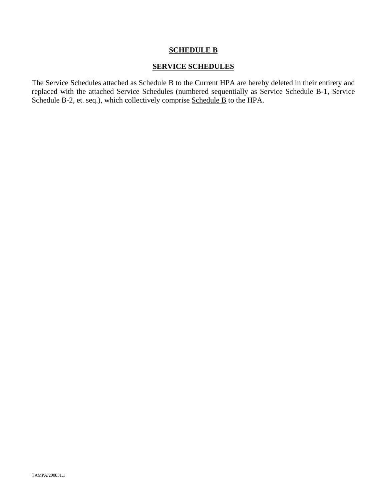## **SCHEDULE B**

## **SERVICE SCHEDULES**

The Service Schedules attached as Schedule B to the Current HPA are hereby deleted in their entirety and replaced with the attached Service Schedules (numbered sequentially as Service Schedule B-1, Service Schedule B-2, et. seq.), which collectively comprise Schedule B to the HPA.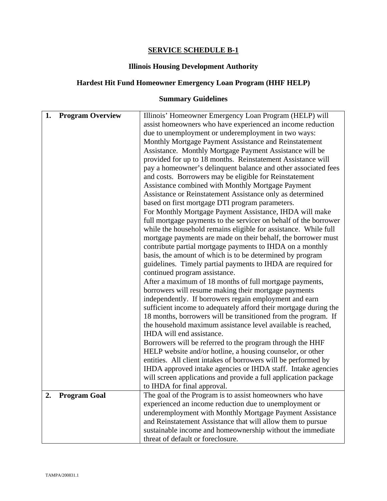## **SERVICE SCHEDULE B-1**

## **Illinois Housing Development Authority**

## **Hardest Hit Fund Homeowner Emergency Loan Program (HHF HELP)**

# **Summary Guidelines**

| 1.<br><b>Program Overview</b><br>Illinois' Homeowner Emergency Loan Program (HELP) will<br>assist homeowners who have experienced an income reduction<br>due to unemployment or underemployment in two ways:<br>Monthly Mortgage Payment Assistance and Reinstatement |
|-----------------------------------------------------------------------------------------------------------------------------------------------------------------------------------------------------------------------------------------------------------------------|
|                                                                                                                                                                                                                                                                       |
|                                                                                                                                                                                                                                                                       |
|                                                                                                                                                                                                                                                                       |
|                                                                                                                                                                                                                                                                       |
| Assistance. Monthly Mortgage Payment Assistance will be                                                                                                                                                                                                               |
| provided for up to 18 months. Reinstatement Assistance will                                                                                                                                                                                                           |
| pay a homeowner's delinquent balance and other associated fees                                                                                                                                                                                                        |
| and costs. Borrowers may be eligible for Reinstatement                                                                                                                                                                                                                |
| Assistance combined with Monthly Mortgage Payment                                                                                                                                                                                                                     |
| Assistance or Reinstatement Assistance only as determined                                                                                                                                                                                                             |
| based on first mortgage DTI program parameters.                                                                                                                                                                                                                       |
| For Monthly Mortgage Payment Assistance, IHDA will make                                                                                                                                                                                                               |
| full mortgage payments to the servicer on behalf of the borrower                                                                                                                                                                                                      |
| while the household remains eligible for assistance. While full                                                                                                                                                                                                       |
| mortgage payments are made on their behalf, the borrower must                                                                                                                                                                                                         |
| contribute partial mortgage payments to IHDA on a monthly                                                                                                                                                                                                             |
| basis, the amount of which is to be determined by program                                                                                                                                                                                                             |
| guidelines. Timely partial payments to IHDA are required for                                                                                                                                                                                                          |
| continued program assistance.                                                                                                                                                                                                                                         |
| After a maximum of 18 months of full mortgage payments,                                                                                                                                                                                                               |
| borrowers will resume making their mortgage payments                                                                                                                                                                                                                  |
| independently. If borrowers regain employment and earn                                                                                                                                                                                                                |
| sufficient income to adequately afford their mortgage during the                                                                                                                                                                                                      |
| 18 months, borrowers will be transitioned from the program. If                                                                                                                                                                                                        |
| the household maximum assistance level available is reached,<br>IHDA will end assistance.                                                                                                                                                                             |
|                                                                                                                                                                                                                                                                       |
| Borrowers will be referred to the program through the HHF<br>HELP website and/or hotline, a housing counselor, or other                                                                                                                                               |
| entities. All client intakes of borrowers will be performed by                                                                                                                                                                                                        |
| IHDA approved intake agencies or IHDA staff. Intake agencies                                                                                                                                                                                                          |
| will screen applications and provide a full application package                                                                                                                                                                                                       |
| to IHDA for final approval.                                                                                                                                                                                                                                           |
| 2.<br><b>Program Goal</b><br>The goal of the Program is to assist homeowners who have                                                                                                                                                                                 |
| experienced an income reduction due to unemployment or                                                                                                                                                                                                                |
| underemployment with Monthly Mortgage Payment Assistance                                                                                                                                                                                                              |
| and Reinstatement Assistance that will allow them to pursue                                                                                                                                                                                                           |
| sustainable income and homeownership without the immediate                                                                                                                                                                                                            |
| threat of default or foreclosure.                                                                                                                                                                                                                                     |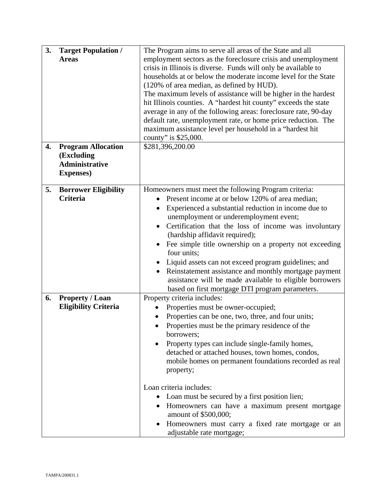| 3.<br>4. | <b>Target Population /</b><br><b>Areas</b><br><b>Program Allocation</b> | The Program aims to serve all areas of the State and all<br>employment sectors as the foreclosure crisis and unemployment<br>crisis in Illinois is diverse. Funds will only be available to<br>households at or below the moderate income level for the State<br>(120% of area median, as defined by HUD).<br>The maximum levels of assistance will be higher in the hardest<br>hit Illinois counties. A "hardest hit county" exceeds the state<br>average in any of the following areas: foreclosure rate, 90-day<br>default rate, unemployment rate, or home price reduction. The<br>maximum assistance level per household in a "hardest hit<br>county" is \$25,000.<br>\$281,396,200.00 |
|----------|-------------------------------------------------------------------------|---------------------------------------------------------------------------------------------------------------------------------------------------------------------------------------------------------------------------------------------------------------------------------------------------------------------------------------------------------------------------------------------------------------------------------------------------------------------------------------------------------------------------------------------------------------------------------------------------------------------------------------------------------------------------------------------|
|          | (Excluding<br><b>Administrative</b><br><b>Expenses</b> )                |                                                                                                                                                                                                                                                                                                                                                                                                                                                                                                                                                                                                                                                                                             |
| 5.       | <b>Borrower Eligibility</b><br><b>Criteria</b>                          | Homeowners must meet the following Program criteria:<br>Present income at or below 120% of area median;<br>Experienced a substantial reduction in income due to<br>unemployment or underemployment event;<br>Certification that the loss of income was involuntary<br>(hardship affidavit required);<br>Fee simple title ownership on a property not exceeding<br>four units;<br>Liquid assets can not exceed program guidelines; and<br>Reinstatement assistance and monthly mortgage payment<br>$\bullet$<br>assistance will be made available to eligible borrowers<br>based on first mortgage DTI program parameters.                                                                   |
| 6.       | <b>Property / Loan</b><br><b>Eligibility Criteria</b>                   | Property criteria includes:<br>Properties must be owner-occupied;<br>Properties can be one, two, three, and four units;<br>Properties must be the primary residence of the<br>borrowers;<br>Property types can include single-family homes,<br>٠<br>detached or attached houses, town homes, condos,<br>mobile homes on permanent foundations recorded as real<br>property;<br>Loan criteria includes:<br>Loan must be secured by a first position lien;<br>Homeowners can have a maximum present mortgage<br>amount of \$500,000;<br>Homeowners must carry a fixed rate mortgage or an<br>adjustable rate mortgage;                                                                        |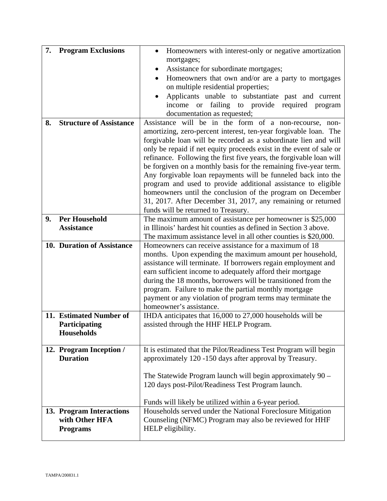| 7. | <b>Program Exclusions</b>      | Homeowners with interest-only or negative amortization<br>$\bullet$                               |
|----|--------------------------------|---------------------------------------------------------------------------------------------------|
|    |                                | mortgages;                                                                                        |
|    |                                | Assistance for subordinate mortgages;                                                             |
|    |                                | Homeowners that own and/or are a party to mortgages<br>$\bullet$                                  |
|    |                                | on multiple residential properties;                                                               |
|    |                                | Applicants unable to substantiate past and current<br>$\bullet$                                   |
|    |                                | income or failing to provide required program                                                     |
|    |                                | documentation as requested;                                                                       |
| 8. | <b>Structure of Assistance</b> | Assistance will be in the form of a non-recourse, non-                                            |
|    |                                | amortizing, zero-percent interest, ten-year forgivable loan. The                                  |
|    |                                | forgivable loan will be recorded as a subordinate lien and will                                   |
|    |                                | only be repaid if net equity proceeds exist in the event of sale or                               |
|    |                                | refinance. Following the first five years, the forgivable loan will                               |
|    |                                | be forgiven on a monthly basis for the remaining five-year term.                                  |
|    |                                | Any forgivable loan repayments will be funneled back into the                                     |
|    |                                | program and used to provide additional assistance to eligible                                     |
|    |                                | homeowners until the conclusion of the program on December                                        |
|    |                                | 31, 2017. After December 31, 2017, any remaining or returned                                      |
| 9. | <b>Per Household</b>           | funds will be returned to Treasury.<br>The maximum amount of assistance per homeowner is \$25,000 |
|    | <b>Assistance</b>              | in Illinois' hardest hit counties as defined in Section 3 above.                                  |
|    |                                | The maximum assistance level in all other counties is \$20,000.                                   |
|    | 10. Duration of Assistance     | Homeowners can receive assistance for a maximum of 18                                             |
|    |                                | months. Upon expending the maximum amount per household,                                          |
|    |                                | assistance will terminate. If borrowers regain employment and                                     |
|    |                                | earn sufficient income to adequately afford their mortgage                                        |
|    |                                | during the 18 months, borrowers will be transitioned from the                                     |
|    |                                | program. Failure to make the partial monthly mortgage                                             |
|    |                                | payment or any violation of program terms may terminate the                                       |
|    |                                | homeowner's assistance.                                                                           |
|    | 11. Estimated Number of        | IHDA anticipates that 16,000 to 27,000 households will be                                         |
|    | Participating                  | assisted through the HHF HELP Program.                                                            |
|    | <b>Households</b>              |                                                                                                   |
|    |                                |                                                                                                   |
|    | 12. Program Inception /        | It is estimated that the Pilot/Readiness Test Program will begin                                  |
|    | <b>Duration</b>                | approximately 120 -150 days after approval by Treasury.                                           |
|    |                                |                                                                                                   |
|    |                                | The Statewide Program launch will begin approximately $90 -$                                      |
|    |                                | 120 days post-Pilot/Readiness Test Program launch.                                                |
|    |                                |                                                                                                   |
|    |                                | Funds will likely be utilized within a 6-year period.                                             |
|    | 13. Program Interactions       | Households served under the National Foreclosure Mitigation                                       |
|    | with Other HFA                 | Counseling (NFMC) Program may also be reviewed for HHF                                            |
|    | <b>Programs</b>                | HELP eligibility.                                                                                 |
|    |                                |                                                                                                   |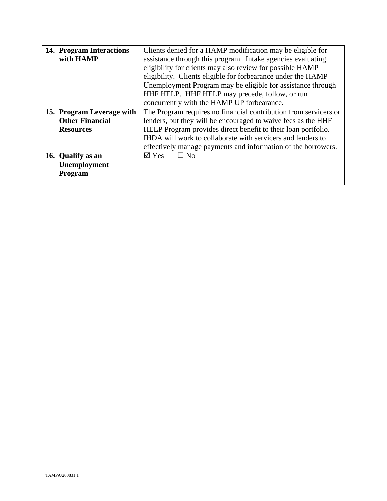| 14. Program Interactions  | Clients denied for a HAMP modification may be eligible for       |
|---------------------------|------------------------------------------------------------------|
| with HAMP                 | assistance through this program. Intake agencies evaluating      |
|                           | eligibility for clients may also review for possible HAMP        |
|                           | eligibility. Clients eligible for forbearance under the HAMP     |
|                           | Unemployment Program may be eligible for assistance through      |
|                           | HHF HELP. HHF HELP may precede, follow, or run                   |
|                           | concurrently with the HAMP UP forbearance.                       |
| 15. Program Leverage with | The Program requires no financial contribution from servicers or |
| <b>Other Financial</b>    | lenders, but they will be encouraged to waive fees as the HHF    |
| <b>Resources</b>          | HELP Program provides direct benefit to their loan portfolio.    |
|                           | IHDA will work to collaborate with servicers and lenders to      |
|                           | effectively manage payments and information of the borrowers.    |
| 16. Qualify as an         | $\overline{\triangle}$ Yes<br>$\Box$ No                          |
| Unemployment              |                                                                  |
| <b>Program</b>            |                                                                  |
|                           |                                                                  |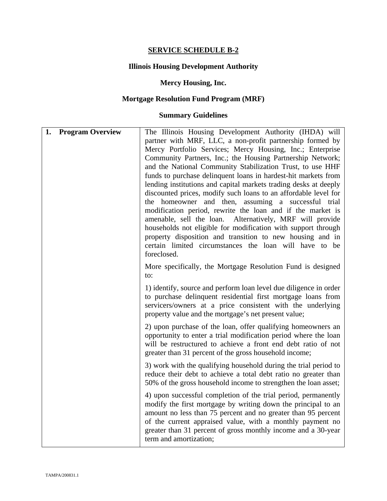## **SERVICE SCHEDULE B-2**

## **Illinois Housing Development Authority**

## **Mercy Housing, Inc.**

# **Mortgage Resolution Fund Program (MRF)**

## **Summary Guidelines**

| 1. | <b>Program Overview</b> | The Illinois Housing Development Authority (IHDA) will<br>partner with MRF, LLC, a non-profit partnership formed by<br>Mercy Portfolio Services; Mercy Housing, Inc.; Enterprise<br>Community Partners, Inc.; the Housing Partnership Network;<br>and the National Community Stabilization Trust, to use HHF<br>funds to purchase delinquent loans in hardest-hit markets from<br>lending institutions and capital markets trading desks at deeply<br>discounted prices, modify such loans to an affordable level for<br>the homeowner and then, assuming a successful trial<br>modification period, rewrite the loan and if the market is<br>amenable, sell the loan. Alternatively, MRF will provide<br>households not eligible for modification with support through<br>property disposition and transition to new housing and in<br>certain limited circumstances the loan will have to be<br>foreclosed. |
|----|-------------------------|---------------------------------------------------------------------------------------------------------------------------------------------------------------------------------------------------------------------------------------------------------------------------------------------------------------------------------------------------------------------------------------------------------------------------------------------------------------------------------------------------------------------------------------------------------------------------------------------------------------------------------------------------------------------------------------------------------------------------------------------------------------------------------------------------------------------------------------------------------------------------------------------------------------|
|    |                         | More specifically, the Mortgage Resolution Fund is designed<br>to:                                                                                                                                                                                                                                                                                                                                                                                                                                                                                                                                                                                                                                                                                                                                                                                                                                            |
|    |                         | 1) identify, source and perform loan level due diligence in order<br>to purchase delinquent residential first mortgage loans from<br>servicers/owners at a price consistent with the underlying<br>property value and the mortgage's net present value;                                                                                                                                                                                                                                                                                                                                                                                                                                                                                                                                                                                                                                                       |
|    |                         | 2) upon purchase of the loan, offer qualifying homeowners an<br>opportunity to enter a trial modification period where the loan<br>will be restructured to achieve a front end debt ratio of not<br>greater than 31 percent of the gross household income;                                                                                                                                                                                                                                                                                                                                                                                                                                                                                                                                                                                                                                                    |
|    |                         | 3) work with the qualifying household during the trial period to<br>reduce their debt to achieve a total debt ratio no greater than<br>50% of the gross household income to strengthen the loan asset;                                                                                                                                                                                                                                                                                                                                                                                                                                                                                                                                                                                                                                                                                                        |
|    |                         | 4) upon successful completion of the trial period, permanently<br>modify the first mortgage by writing down the principal to an<br>amount no less than 75 percent and no greater than 95 percent<br>of the current appraised value, with a monthly payment no<br>greater than 31 percent of gross monthly income and a 30-year<br>term and amortization;                                                                                                                                                                                                                                                                                                                                                                                                                                                                                                                                                      |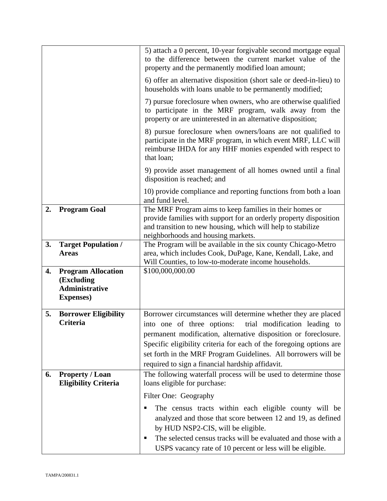|    |                                                                                       | 5) attach a 0 percent, 10-year forgivable second mortgage equal<br>to the difference between the current market value of the<br>property and the permanently modified loan amount;                                                |
|----|---------------------------------------------------------------------------------------|-----------------------------------------------------------------------------------------------------------------------------------------------------------------------------------------------------------------------------------|
|    |                                                                                       | 6) offer an alternative disposition (short sale or deed-in-lieu) to<br>households with loans unable to be permanently modified;                                                                                                   |
|    |                                                                                       | 7) pursue foreclosure when owners, who are otherwise qualified<br>to participate in the MRF program, walk away from the<br>property or are uninterested in an alternative disposition;                                            |
|    |                                                                                       | 8) pursue foreclosure when owners/loans are not qualified to<br>participate in the MRF program, in which event MRF, LLC will<br>reimburse IHDA for any HHF monies expended with respect to<br>that loan;                          |
|    |                                                                                       | 9) provide asset management of all homes owned until a final<br>disposition is reached; and                                                                                                                                       |
|    |                                                                                       | 10) provide compliance and reporting functions from both a loan<br>and fund level.                                                                                                                                                |
| 2. | <b>Program Goal</b>                                                                   | The MRF Program aims to keep families in their homes or<br>provide families with support for an orderly property disposition<br>and transition to new housing, which will help to stabilize<br>neighborhoods and housing markets. |
| 3. | <b>Target Population /</b><br><b>Areas</b>                                            | The Program will be available in the six county Chicago-Metro<br>area, which includes Cook, DuPage, Kane, Kendall, Lake, and<br>Will Counties, to low-to-moderate income households.                                              |
| 4. | <b>Program Allocation</b><br>(Excluding<br><b>Administrative</b><br><b>Expenses</b> ) | \$100,000,000.00                                                                                                                                                                                                                  |
| 5. | <b>Borrower Eligibility</b>                                                           | Borrower circumstances will determine whether they are placed                                                                                                                                                                     |
|    | <b>Criteria</b>                                                                       | into one of three options:<br>trial modification leading to<br>permanent modification, alternative disposition or foreclosure.                                                                                                    |
|    |                                                                                       | Specific eligibility criteria for each of the foregoing options are                                                                                                                                                               |
|    |                                                                                       | set forth in the MRF Program Guidelines. All borrowers will be<br>required to sign a financial hardship affidavit.                                                                                                                |
| 6. | <b>Property / Loan</b>                                                                | The following waterfall process will be used to determine those                                                                                                                                                                   |
|    | <b>Eligibility Criteria</b>                                                           | loans eligible for purchase:                                                                                                                                                                                                      |
|    |                                                                                       | Filter One: Geography                                                                                                                                                                                                             |
|    |                                                                                       | The census tracts within each eligible county will be<br>п<br>analyzed and those that score between 12 and 19, as defined<br>by HUD NSP2-CIS, will be eligible.                                                                   |
|    |                                                                                       | The selected census tracks will be evaluated and those with a<br>п                                                                                                                                                                |
|    |                                                                                       | USPS vacancy rate of 10 percent or less will be eligible.                                                                                                                                                                         |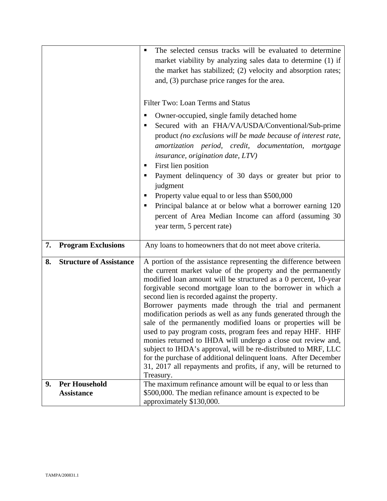|    |                                | The selected census tracks will be evaluated to determine<br>market viability by analyzing sales data to determine (1) if       |
|----|--------------------------------|---------------------------------------------------------------------------------------------------------------------------------|
|    |                                | the market has stabilized; (2) velocity and absorption rates;                                                                   |
|    |                                | and, (3) purchase price ranges for the area.                                                                                    |
|    |                                |                                                                                                                                 |
|    |                                | Filter Two: Loan Terms and Status                                                                                               |
|    |                                | Owner-occupied, single family detached home<br>п                                                                                |
|    |                                | Secured with an FHA/VA/USDA/Conventional/Sub-prime<br>п<br>product (no exclusions will be made because of interest rate,        |
|    |                                | amortization period, credit, documentation, mortgage                                                                            |
|    |                                | <i>insurance, origination date, LTV)</i>                                                                                        |
|    |                                | First lien position<br>п                                                                                                        |
|    |                                | Payment delinquency of 30 days or greater but prior to<br>п<br>judgment                                                         |
|    |                                | Property value equal to or less than \$500,000<br>п                                                                             |
|    |                                | Principal balance at or below what a borrower earning 120<br>٠                                                                  |
|    |                                | percent of Area Median Income can afford (assuming 30)                                                                          |
|    |                                | year term, 5 percent rate)                                                                                                      |
| 7. | <b>Program Exclusions</b>      | Any loans to homeowners that do not meet above criteria.                                                                        |
| 8. | <b>Structure of Assistance</b> | A portion of the assistance representing the difference between                                                                 |
|    |                                | the current market value of the property and the permanently<br>modified loan amount will be structured as a 0 percent, 10-year |
|    |                                | forgivable second mortgage loan to the borrower in which a                                                                      |
|    |                                | second lien is recorded against the property.                                                                                   |
|    |                                | Borrower payments made through the trial and permanent<br>modification periods as well as any funds generated through the       |
|    |                                | sale of the permanently modified loans or properties will be                                                                    |
|    |                                | used to pay program costs, program fees and repay HHF. HHF                                                                      |
|    |                                | monies returned to IHDA will undergo a close out review and,<br>subject to IHDA's approval, will be re-distributed to MRF, LLC  |
|    |                                | for the purchase of additional delinquent loans. After December                                                                 |
|    |                                | 31, 2017 all repayments and profits, if any, will be returned to                                                                |
| 9. | <b>Per Household</b>           | Treasury.<br>The maximum refinance amount will be equal to or less than                                                         |
|    | <b>Assistance</b>              | \$500,000. The median refinance amount is expected to be                                                                        |
|    |                                | approximately \$130,000.                                                                                                        |